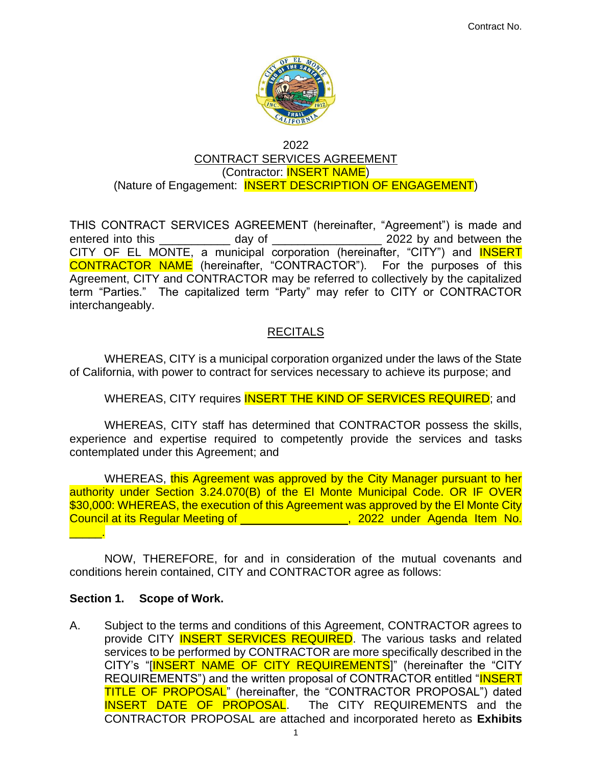

#### 2022 CONTRACT SERVICES AGREEMENT (Contractor: INSERT NAME) (Nature of Engagement: **INSERT DESCRIPTION OF ENGAGEMENT)**

THIS CONTRACT SERVICES AGREEMENT (hereinafter, "Agreement") is made and entered into this day of  $\qquad$  2022 by and between the CITY OF EL MONTE, a municipal corporation (hereinafter, "CITY") and **INSERT** CONTRACTOR NAME (hereinafter, "CONTRACTOR"). For the purposes of this Agreement, CITY and CONTRACTOR may be referred to collectively by the capitalized term "Parties." The capitalized term "Party" may refer to CITY or CONTRACTOR interchangeably.

## RECITALS

WHEREAS, CITY is a municipal corporation organized under the laws of the State of California, with power to contract for services necessary to achieve its purpose; and

WHEREAS, CITY requires **INSERT THE KIND OF SERVICES REQUIRED**; and

WHEREAS, CITY staff has determined that CONTRACTOR possess the skills, experience and expertise required to competently provide the services and tasks contemplated under this Agreement; and

WHEREAS, this Agreement was approved by the City Manager pursuant to her authority under Section 3.24.070(B) of the El Monte Municipal Code. OR IF OVER \$30,000: WHEREAS, the execution of this Agreement was approved by the El Monte City Council at its Regular Meeting of **Council at its Regular Meeting of** , 2022 under Agenda Item No. \_\_\_\_\_.

NOW, THEREFORE, for and in consideration of the mutual covenants and conditions herein contained, CITY and CONTRACTOR agree as follows:

## **Section 1. Scope of Work.**

A. Subject to the terms and conditions of this Agreement, CONTRACTOR agrees to provide CITY **INSERT SERVICES REQUIRED**. The various tasks and related services to be performed by CONTRACTOR are more specifically described in the CITY's "[INSERT NAME OF CITY REQUIREMENTS]" (hereinafter the "CITY REQUIREMENTS") and the written proposal of CONTRACTOR entitled "INSERT TITLE OF PROPOSAL" (hereinafter, the "CONTRACTOR PROPOSAL") dated INSERT DATE OF PROPOSAL. The CITY REQUIREMENTS and the CONTRACTOR PROPOSAL are attached and incorporated hereto as **Exhibits**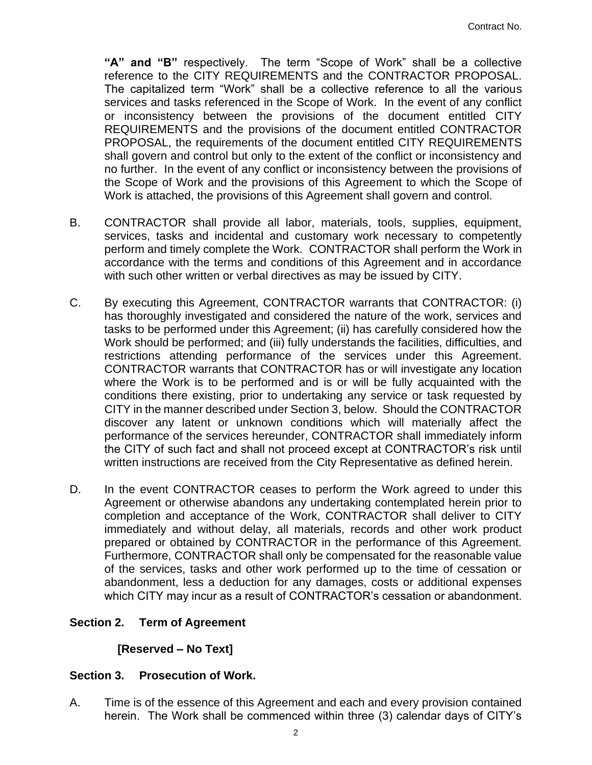**"A" and "B"** respectively. The term "Scope of Work" shall be a collective reference to the CITY REQUIREMENTS and the CONTRACTOR PROPOSAL. The capitalized term "Work" shall be a collective reference to all the various services and tasks referenced in the Scope of Work. In the event of any conflict or inconsistency between the provisions of the document entitled CITY REQUIREMENTS and the provisions of the document entitled CONTRACTOR PROPOSAL, the requirements of the document entitled CITY REQUIREMENTS shall govern and control but only to the extent of the conflict or inconsistency and no further. In the event of any conflict or inconsistency between the provisions of the Scope of Work and the provisions of this Agreement to which the Scope of Work is attached, the provisions of this Agreement shall govern and control.

- B. CONTRACTOR shall provide all labor, materials, tools, supplies, equipment, services, tasks and incidental and customary work necessary to competently perform and timely complete the Work.CONTRACTOR shall perform the Work in accordance with the terms and conditions of this Agreement and in accordance with such other written or verbal directives as may be issued by CITY.
- C. By executing this Agreement, CONTRACTOR warrants that CONTRACTOR: (i) has thoroughly investigated and considered the nature of the work, services and tasks to be performed under this Agreement; (ii) has carefully considered how the Work should be performed; and (iii) fully understands the facilities, difficulties, and restrictions attending performance of the services under this Agreement. CONTRACTOR warrants that CONTRACTOR has or will investigate any location where the Work is to be performed and is or will be fully acquainted with the conditions there existing, prior to undertaking any service or task requested by CITY in the manner described under Section 3, below. Should the CONTRACTOR discover any latent or unknown conditions which will materially affect the performance of the services hereunder, CONTRACTOR shall immediately inform the CITY of such fact and shall not proceed except at CONTRACTOR's risk until written instructions are received from the City Representative as defined herein.
- D. In the event CONTRACTOR ceases to perform the Work agreed to under this Agreement or otherwise abandons any undertaking contemplated herein prior to completion and acceptance of the Work, CONTRACTOR shall deliver to CITY immediately and without delay, all materials, records and other work product prepared or obtained by CONTRACTOR in the performance of this Agreement. Furthermore, CONTRACTOR shall only be compensated for the reasonable value of the services, tasks and other work performed up to the time of cessation or abandonment, less a deduction for any damages, costs or additional expenses which CITY may incur as a result of CONTRACTOR's cessation or abandonment.

## **Section 2. Term of Agreement**

## **[Reserved – No Text]**

## **Section 3. Prosecution of Work.**

A. Time is of the essence of this Agreement and each and every provision contained herein. The Work shall be commenced within three (3) calendar days of CITY's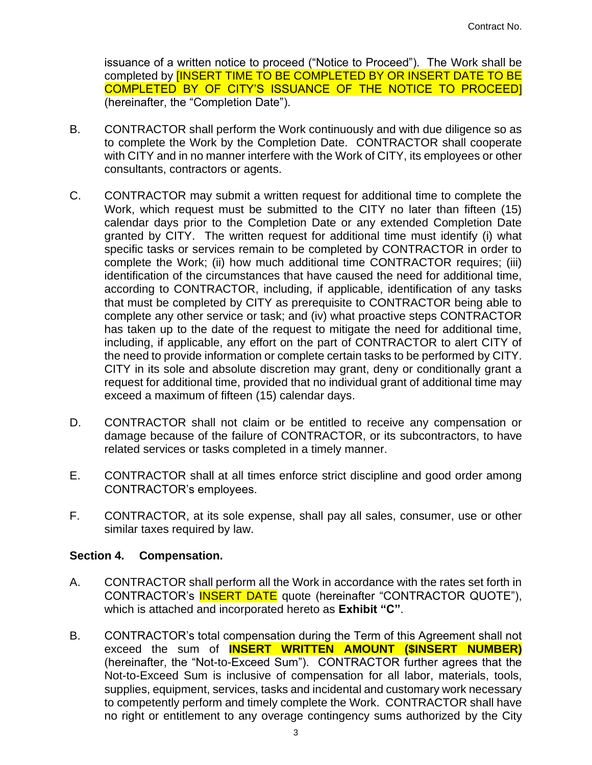issuance of a written notice to proceed ("Notice to Proceed"). The Work shall be completed by **[INSERT TIME TO BE COMPLETED BY OR INSERT DATE TO BE** COMPLETED BY OF CITY'S ISSUANCE OF THE NOTICE TO PROCEED] (hereinafter, the "Completion Date").

- B. CONTRACTOR shall perform the Work continuously and with due diligence so as to complete the Work by the Completion Date. CONTRACTOR shall cooperate with CITY and in no manner interfere with the Work of CITY, its employees or other consultants, contractors or agents.
- C. CONTRACTOR may submit a written request for additional time to complete the Work, which request must be submitted to the CITY no later than fifteen (15) calendar days prior to the Completion Date or any extended Completion Date granted by CITY. The written request for additional time must identify (i) what specific tasks or services remain to be completed by CONTRACTOR in order to complete the Work; (ii) how much additional time CONTRACTOR requires; (iii) identification of the circumstances that have caused the need for additional time, according to CONTRACTOR, including, if applicable, identification of any tasks that must be completed by CITY as prerequisite to CONTRACTOR being able to complete any other service or task; and (iv) what proactive steps CONTRACTOR has taken up to the date of the request to mitigate the need for additional time, including, if applicable, any effort on the part of CONTRACTOR to alert CITY of the need to provide information or complete certain tasks to be performed by CITY. CITY in its sole and absolute discretion may grant, deny or conditionally grant a request for additional time, provided that no individual grant of additional time may exceed a maximum of fifteen (15) calendar days.
- D. CONTRACTOR shall not claim or be entitled to receive any compensation or damage because of the failure of CONTRACTOR, or its subcontractors, to have related services or tasks completed in a timely manner.
- E. CONTRACTOR shall at all times enforce strict discipline and good order among CONTRACTOR's employees.
- F. CONTRACTOR, at its sole expense, shall pay all sales, consumer, use or other similar taxes required by law.

#### **Section 4. Compensation.**

- A. CONTRACTOR shall perform all the Work in accordance with the rates set forth in CONTRACTOR's INSERT DATE quote (hereinafter "CONTRACTOR QUOTE"), which is attached and incorporated hereto as **Exhibit "C"**.
- B. CONTRACTOR's total compensation during the Term of this Agreement shall not exceed the sum of **INSERT WRITTEN AMOUNT (\$INSERT NUMBER)** (hereinafter, the "Not-to-Exceed Sum"). CONTRACTOR further agrees that the Not-to-Exceed Sum is inclusive of compensation for all labor, materials, tools, supplies, equipment, services, tasks and incidental and customary work necessary to competently perform and timely complete the Work. CONTRACTOR shall have no right or entitlement to any overage contingency sums authorized by the City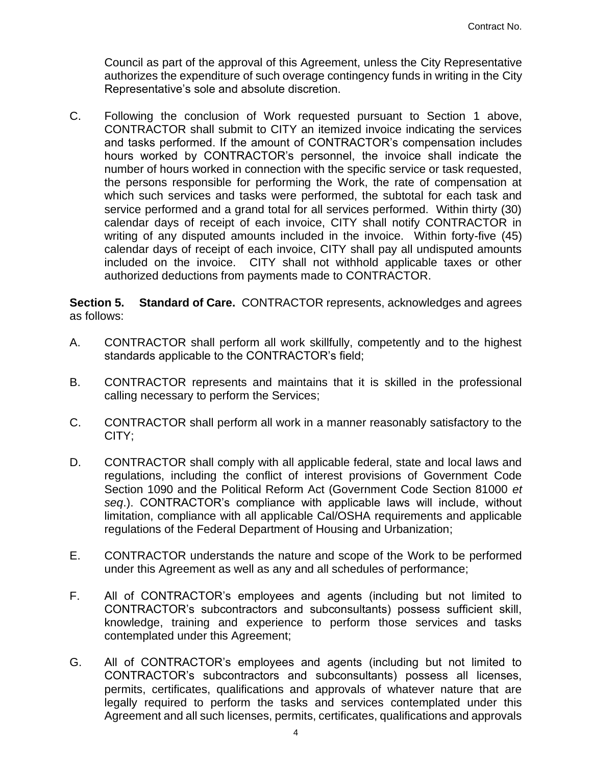Council as part of the approval of this Agreement, unless the City Representative authorizes the expenditure of such overage contingency funds in writing in the City Representative's sole and absolute discretion.

C. Following the conclusion of Work requested pursuant to Section 1 above, CONTRACTOR shall submit to CITY an itemized invoice indicating the services and tasks performed. If the amount of CONTRACTOR's compensation includes hours worked by CONTRACTOR's personnel, the invoice shall indicate the number of hours worked in connection with the specific service or task requested, the persons responsible for performing the Work, the rate of compensation at which such services and tasks were performed, the subtotal for each task and service performed and a grand total for all services performed. Within thirty (30) calendar days of receipt of each invoice, CITY shall notify CONTRACTOR in writing of any disputed amounts included in the invoice. Within forty-five (45) calendar days of receipt of each invoice, CITY shall pay all undisputed amounts included on the invoice. CITY shall not withhold applicable taxes or other authorized deductions from payments made to CONTRACTOR.

**Section 5. Standard of Care.** CONTRACTOR represents, acknowledges and agrees as follows:

- A. CONTRACTOR shall perform all work skillfully, competently and to the highest standards applicable to the CONTRACTOR's field;
- B. CONTRACTOR represents and maintains that it is skilled in the professional calling necessary to perform the Services;
- C. CONTRACTOR shall perform all work in a manner reasonably satisfactory to the CITY;
- D. CONTRACTOR shall comply with all applicable federal, state and local laws and regulations, including the conflict of interest provisions of Government Code Section 1090 and the Political Reform Act (Government Code Section 81000 *et seq*.). CONTRACTOR's compliance with applicable laws will include, without limitation, compliance with all applicable Cal/OSHA requirements and applicable regulations of the Federal Department of Housing and Urbanization;
- E. CONTRACTOR understands the nature and scope of the Work to be performed under this Agreement as well as any and all schedules of performance;
- F. All of CONTRACTOR's employees and agents (including but not limited to CONTRACTOR's subcontractors and subconsultants) possess sufficient skill, knowledge, training and experience to perform those services and tasks contemplated under this Agreement;
- G. All of CONTRACTOR's employees and agents (including but not limited to CONTRACTOR's subcontractors and subconsultants) possess all licenses, permits, certificates, qualifications and approvals of whatever nature that are legally required to perform the tasks and services contemplated under this Agreement and all such licenses, permits, certificates, qualifications and approvals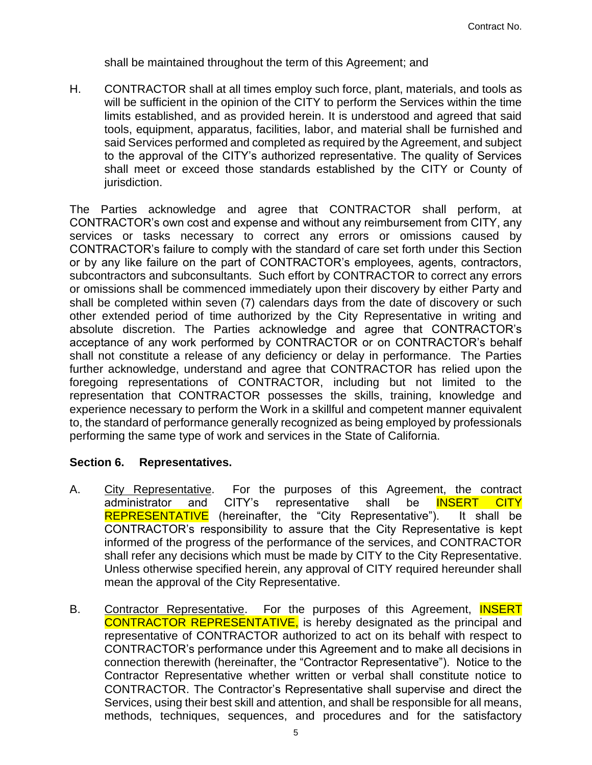shall be maintained throughout the term of this Agreement; and

H. CONTRACTOR shall at all times employ such force, plant, materials, and tools as will be sufficient in the opinion of the CITY to perform the Services within the time limits established, and as provided herein. It is understood and agreed that said tools, equipment, apparatus, facilities, labor, and material shall be furnished and said Services performed and completed as required by the Agreement, and subject to the approval of the CITY's authorized representative. The quality of Services shall meet or exceed those standards established by the CITY or County of jurisdiction.

The Parties acknowledge and agree that CONTRACTOR shall perform, at CONTRACTOR's own cost and expense and without any reimbursement from CITY, any services or tasks necessary to correct any errors or omissions caused by CONTRACTOR's failure to comply with the standard of care set forth under this Section or by any like failure on the part of CONTRACTOR's employees, agents, contractors, subcontractors and subconsultants. Such effort by CONTRACTOR to correct any errors or omissions shall be commenced immediately upon their discovery by either Party and shall be completed within seven (7) calendars days from the date of discovery or such other extended period of time authorized by the City Representative in writing and absolute discretion. The Parties acknowledge and agree that CONTRACTOR's acceptance of any work performed by CONTRACTOR or on CONTRACTOR's behalf shall not constitute a release of any deficiency or delay in performance. The Parties further acknowledge, understand and agree that CONTRACTOR has relied upon the foregoing representations of CONTRACTOR, including but not limited to the representation that CONTRACTOR possesses the skills, training, knowledge and experience necessary to perform the Work in a skillful and competent manner equivalent to, the standard of performance generally recognized as being employed by professionals performing the same type of work and services in the State of California.

## **Section 6. Representatives.**

- A. City Representative. For the purposes of this Agreement, the contract administrator and CITY's representative shall be INSERT CITY REPRESENTATIVE (hereinafter, the "City Representative"). It shall be CONTRACTOR's responsibility to assure that the City Representative is kept informed of the progress of the performance of the services, and CONTRACTOR shall refer any decisions which must be made by CITY to the City Representative. Unless otherwise specified herein, any approval of CITY required hereunder shall mean the approval of the City Representative.
- B. Contractor Representative. For the purposes of this Agreement, **INSERT** CONTRACTOR REPRESENTATIVE, is hereby designated as the principal and representative of CONTRACTOR authorized to act on its behalf with respect to CONTRACTOR's performance under this Agreement and to make all decisions in connection therewith (hereinafter, the "Contractor Representative"). Notice to the Contractor Representative whether written or verbal shall constitute notice to CONTRACTOR. The Contractor's Representative shall supervise and direct the Services, using their best skill and attention, and shall be responsible for all means, methods, techniques, sequences, and procedures and for the satisfactory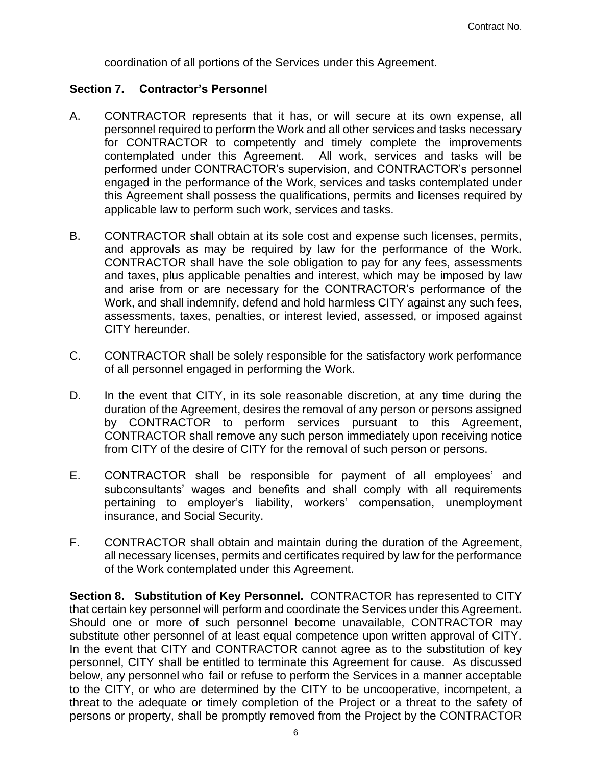coordination of all portions of the Services under this Agreement.

#### **Section 7. Contractor's Personnel**

- A. CONTRACTOR represents that it has, or will secure at its own expense, all personnel required to perform the Work and all other services and tasks necessary for CONTRACTOR to competently and timely complete the improvements contemplated under this Agreement. All work, services and tasks will be performed under CONTRACTOR's supervision, and CONTRACTOR's personnel engaged in the performance of the Work, services and tasks contemplated under this Agreement shall possess the qualifications, permits and licenses required by applicable law to perform such work, services and tasks.
- B. CONTRACTOR shall obtain at its sole cost and expense such licenses, permits, and approvals as may be required by law for the performance of the Work. CONTRACTOR shall have the sole obligation to pay for any fees, assessments and taxes, plus applicable penalties and interest, which may be imposed by law and arise from or are necessary for the CONTRACTOR's performance of the Work, and shall indemnify, defend and hold harmless CITY against any such fees, assessments, taxes, penalties, or interest levied, assessed, or imposed against CITY hereunder.
- C. CONTRACTOR shall be solely responsible for the satisfactory work performance of all personnel engaged in performing the Work.
- D. In the event that CITY, in its sole reasonable discretion, at any time during the duration of the Agreement, desires the removal of any person or persons assigned by CONTRACTOR to perform services pursuant to this Agreement, CONTRACTOR shall remove any such person immediately upon receiving notice from CITY of the desire of CITY for the removal of such person or persons.
- E. CONTRACTOR shall be responsible for payment of all employees' and subconsultants' wages and benefits and shall comply with all requirements pertaining to employer's liability, workers' compensation, unemployment insurance, and Social Security.
- F. CONTRACTOR shall obtain and maintain during the duration of the Agreement, all necessary licenses, permits and certificates required by law for the performance of the Work contemplated under this Agreement.

**Section 8. Substitution of Key Personnel.** CONTRACTOR has represented to CITY that certain key personnel will perform and coordinate the Services under this Agreement. Should one or more of such personnel become unavailable, CONTRACTOR may substitute other personnel of at least equal competence upon written approval of CITY. In the event that CITY and CONTRACTOR cannot agree as to the substitution of key personnel, CITY shall be entitled to terminate this Agreement for cause. As discussed below, any personnel who fail or refuse to perform the Services in a manner acceptable to the CITY, or who are determined by the CITY to be uncooperative, incompetent, a threat to the adequate or timely completion of the Project or a threat to the safety of persons or property, shall be promptly removed from the Project by the CONTRACTOR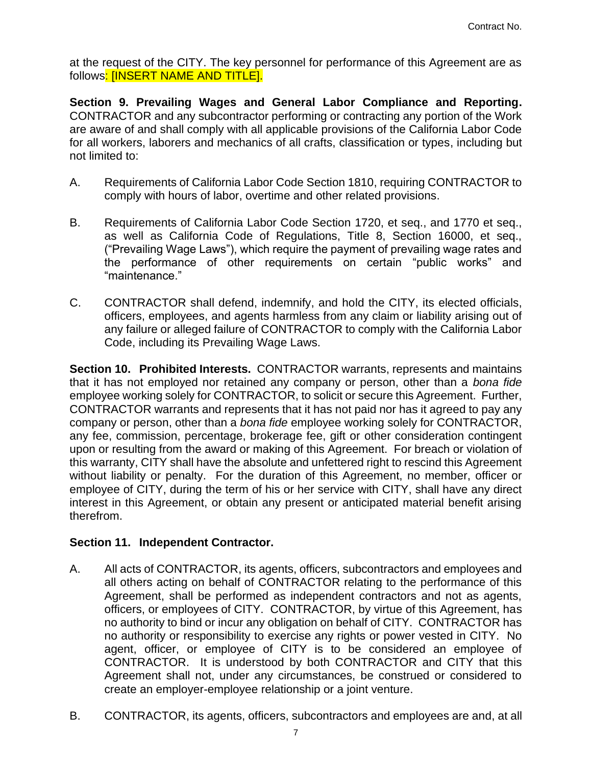at the request of the CITY. The key personnel for performance of this Agreement are as follows: **[INSERT NAME AND TITLE].** 

**Section 9. Prevailing Wages and General Labor Compliance and Reporting.**  CONTRACTOR and any subcontractor performing or contracting any portion of the Work are aware of and shall comply with all applicable provisions of the California Labor Code for all workers, laborers and mechanics of all crafts, classification or types, including but not limited to:

- A. Requirements of California Labor Code Section 1810, requiring CONTRACTOR to comply with hours of labor, overtime and other related provisions.
- B. Requirements of California Labor Code Section 1720, et seq., and 1770 et seq., as well as California Code of Regulations, Title 8, Section 16000, et seq., ("Prevailing Wage Laws"), which require the payment of prevailing wage rates and the performance of other requirements on certain "public works" and "maintenance."
- C. CONTRACTOR shall defend, indemnify, and hold the CITY, its elected officials, officers, employees, and agents harmless from any claim or liability arising out of any failure or alleged failure of CONTRACTOR to comply with the California Labor Code, including its Prevailing Wage Laws.

**Section 10. Prohibited Interests.** CONTRACTOR warrants, represents and maintains that it has not employed nor retained any company or person, other than a *bona fide* employee working solely for CONTRACTOR, to solicit or secure this Agreement. Further, CONTRACTOR warrants and represents that it has not paid nor has it agreed to pay any company or person, other than a *bona fide* employee working solely for CONTRACTOR, any fee, commission, percentage, brokerage fee, gift or other consideration contingent upon or resulting from the award or making of this Agreement. For breach or violation of this warranty, CITY shall have the absolute and unfettered right to rescind this Agreement without liability or penalty. For the duration of this Agreement, no member, officer or employee of CITY, during the term of his or her service with CITY, shall have any direct interest in this Agreement, or obtain any present or anticipated material benefit arising therefrom.

## **Section 11. Independent Contractor.**

- A. All acts of CONTRACTOR, its agents, officers, subcontractors and employees and all others acting on behalf of CONTRACTOR relating to the performance of this Agreement, shall be performed as independent contractors and not as agents, officers, or employees of CITY. CONTRACTOR, by virtue of this Agreement, has no authority to bind or incur any obligation on behalf of CITY. CONTRACTOR has no authority or responsibility to exercise any rights or power vested in CITY. No agent, officer, or employee of CITY is to be considered an employee of CONTRACTOR. It is understood by both CONTRACTOR and CITY that this Agreement shall not, under any circumstances, be construed or considered to create an employer-employee relationship or a joint venture.
- B. CONTRACTOR, its agents, officers, subcontractors and employees are and, at all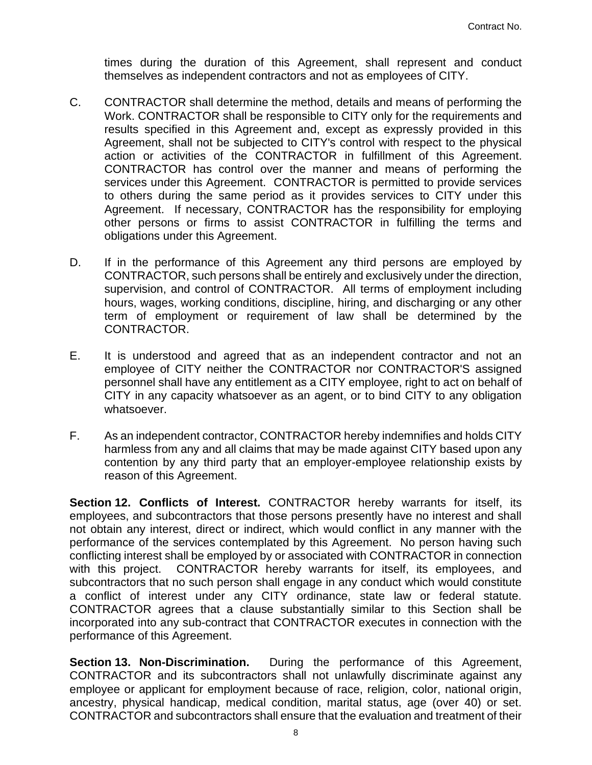times during the duration of this Agreement, shall represent and conduct themselves as independent contractors and not as employees of CITY.

- C. CONTRACTOR shall determine the method, details and means of performing the Work. CONTRACTOR shall be responsible to CITY only for the requirements and results specified in this Agreement and, except as expressly provided in this Agreement, shall not be subjected to CITY's control with respect to the physical action or activities of the CONTRACTOR in fulfillment of this Agreement. CONTRACTOR has control over the manner and means of performing the services under this Agreement. CONTRACTOR is permitted to provide services to others during the same period as it provides services to CITY under this Agreement. If necessary, CONTRACTOR has the responsibility for employing other persons or firms to assist CONTRACTOR in fulfilling the terms and obligations under this Agreement.
- D. If in the performance of this Agreement any third persons are employed by CONTRACTOR, such persons shall be entirely and exclusively under the direction, supervision, and control of CONTRACTOR. All terms of employment including hours, wages, working conditions, discipline, hiring, and discharging or any other term of employment or requirement of law shall be determined by the CONTRACTOR.
- E. It is understood and agreed that as an independent contractor and not an employee of CITY neither the CONTRACTOR nor CONTRACTOR'S assigned personnel shall have any entitlement as a CITY employee, right to act on behalf of CITY in any capacity whatsoever as an agent, or to bind CITY to any obligation whatsoever.
- F. As an independent contractor, CONTRACTOR hereby indemnifies and holds CITY harmless from any and all claims that may be made against CITY based upon any contention by any third party that an employer-employee relationship exists by reason of this Agreement.

**Section 12. Conflicts of Interest.** CONTRACTOR hereby warrants for itself, its employees, and subcontractors that those persons presently have no interest and shall not obtain any interest, direct or indirect, which would conflict in any manner with the performance of the services contemplated by this Agreement. No person having such conflicting interest shall be employed by or associated with CONTRACTOR in connection with this project. CONTRACTOR hereby warrants for itself, its employees, and subcontractors that no such person shall engage in any conduct which would constitute a conflict of interest under any CITY ordinance, state law or federal statute. CONTRACTOR agrees that a clause substantially similar to this Section shall be incorporated into any sub-contract that CONTRACTOR executes in connection with the performance of this Agreement.

**Section 13. Non-Discrimination.** During the performance of this Agreement, CONTRACTOR and its subcontractors shall not unlawfully discriminate against any employee or applicant for employment because of race, religion, color, national origin, ancestry, physical handicap, medical condition, marital status, age (over 40) or set. CONTRACTOR and subcontractors shall ensure that the evaluation and treatment of their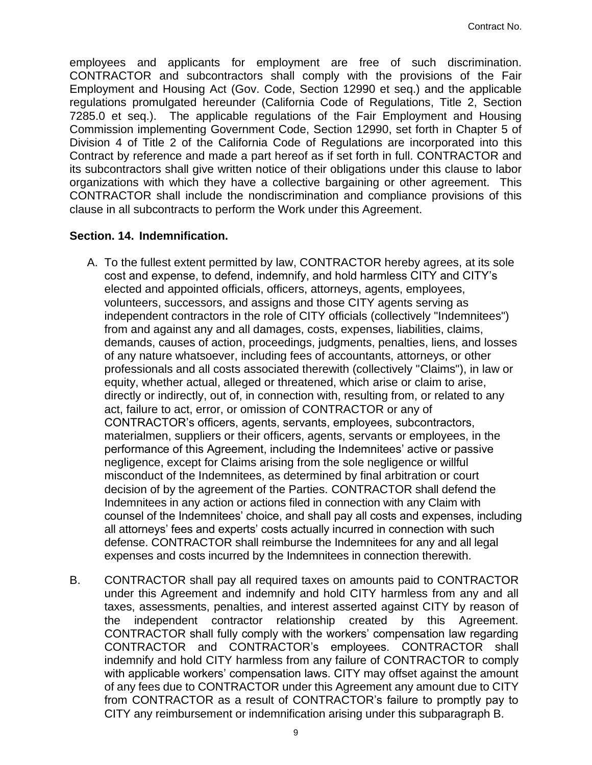employees and applicants for employment are free of such discrimination. CONTRACTOR and subcontractors shall comply with the provisions of the Fair Employment and Housing Act (Gov. Code, Section 12990 et seq.) and the applicable regulations promulgated hereunder (California Code of Regulations, Title 2, Section 7285.0 et seq.). The applicable regulations of the Fair Employment and Housing Commission implementing Government Code, Section 12990, set forth in Chapter 5 of Division 4 of Title 2 of the California Code of Regulations are incorporated into this Contract by reference and made a part hereof as if set forth in full. CONTRACTOR and its subcontractors shall give written notice of their obligations under this clause to labor organizations with which they have a collective bargaining or other agreement. This CONTRACTOR shall include the nondiscrimination and compliance provisions of this clause in all subcontracts to perform the Work under this Agreement.

## **Section. 14. Indemnification.**

- A. To the fullest extent permitted by law, CONTRACTOR hereby agrees, at its sole cost and expense, to defend, indemnify, and hold harmless CITY and CITY's elected and appointed officials, officers, attorneys, agents, employees, volunteers, successors, and assigns and those CITY agents serving as independent contractors in the role of CITY officials (collectively "Indemnitees") from and against any and all damages, costs, expenses, liabilities, claims, demands, causes of action, proceedings, judgments, penalties, liens, and losses of any nature whatsoever, including fees of accountants, attorneys, or other professionals and all costs associated therewith (collectively "Claims"), in law or equity, whether actual, alleged or threatened, which arise or claim to arise, directly or indirectly, out of, in connection with, resulting from, or related to any act, failure to act, error, or omission of CONTRACTOR or any of CONTRACTOR's officers, agents, servants, employees, subcontractors, materialmen, suppliers or their officers, agents, servants or employees, in the performance of this Agreement, including the Indemnitees' active or passive negligence, except for Claims arising from the sole negligence or willful misconduct of the Indemnitees, as determined by final arbitration or court decision of by the agreement of the Parties. CONTRACTOR shall defend the Indemnitees in any action or actions filed in connection with any Claim with counsel of the Indemnitees' choice, and shall pay all costs and expenses, including all attorneys' fees and experts' costs actually incurred in connection with such defense. CONTRACTOR shall reimburse the Indemnitees for any and all legal expenses and costs incurred by the Indemnitees in connection therewith.
- B. CONTRACTOR shall pay all required taxes on amounts paid to CONTRACTOR under this Agreement and indemnify and hold CITY harmless from any and all taxes, assessments, penalties, and interest asserted against CITY by reason of the independent contractor relationship created by this Agreement. CONTRACTOR shall fully comply with the workers' compensation law regarding CONTRACTOR and CONTRACTOR's employees. CONTRACTOR shall indemnify and hold CITY harmless from any failure of CONTRACTOR to comply with applicable workers' compensation laws. CITY may offset against the amount of any fees due to CONTRACTOR under this Agreement any amount due to CITY from CONTRACTOR as a result of CONTRACTOR's failure to promptly pay to CITY any reimbursement or indemnification arising under this subparagraph B.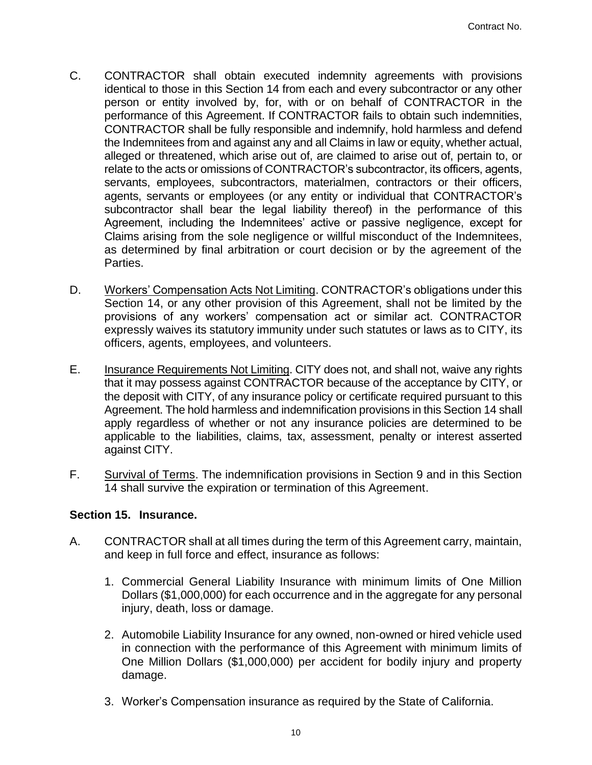- C. CONTRACTOR shall obtain executed indemnity agreements with provisions identical to those in this Section 14 from each and every subcontractor or any other person or entity involved by, for, with or on behalf of CONTRACTOR in the performance of this Agreement. If CONTRACTOR fails to obtain such indemnities, CONTRACTOR shall be fully responsible and indemnify, hold harmless and defend the Indemnitees from and against any and all Claims in law or equity, whether actual, alleged or threatened, which arise out of, are claimed to arise out of, pertain to, or relate to the acts or omissions of CONTRACTOR's subcontractor, its officers, agents, servants, employees, subcontractors, materialmen, contractors or their officers, agents, servants or employees (or any entity or individual that CONTRACTOR's subcontractor shall bear the legal liability thereof) in the performance of this Agreement, including the Indemnitees' active or passive negligence, except for Claims arising from the sole negligence or willful misconduct of the Indemnitees, as determined by final arbitration or court decision or by the agreement of the Parties.
- D. Workers' Compensation Acts Not Limiting. CONTRACTOR's obligations under this Section 14, or any other provision of this Agreement, shall not be limited by the provisions of any workers' compensation act or similar act. CONTRACTOR expressly waives its statutory immunity under such statutes or laws as to CITY, its officers, agents, employees, and volunteers.
- E. Insurance Requirements Not Limiting. CITY does not, and shall not, waive any rights that it may possess against CONTRACTOR because of the acceptance by CITY, or the deposit with CITY, of any insurance policy or certificate required pursuant to this Agreement. The hold harmless and indemnification provisions in this Section 14 shall apply regardless of whether or not any insurance policies are determined to be applicable to the liabilities, claims, tax, assessment, penalty or interest asserted against CITY.
- F. Survival of Terms. The indemnification provisions in Section 9 and in this Section 14 shall survive the expiration or termination of this Agreement.

## **Section 15. Insurance.**

- A. CONTRACTOR shall at all times during the term of this Agreement carry, maintain, and keep in full force and effect, insurance as follows:
	- 1. Commercial General Liability Insurance with minimum limits of One Million Dollars (\$1,000,000) for each occurrence and in the aggregate for any personal injury, death, loss or damage.
	- 2. Automobile Liability Insurance for any owned, non-owned or hired vehicle used in connection with the performance of this Agreement with minimum limits of One Million Dollars (\$1,000,000) per accident for bodily injury and property damage.
	- 3. Worker's Compensation insurance as required by the State of California.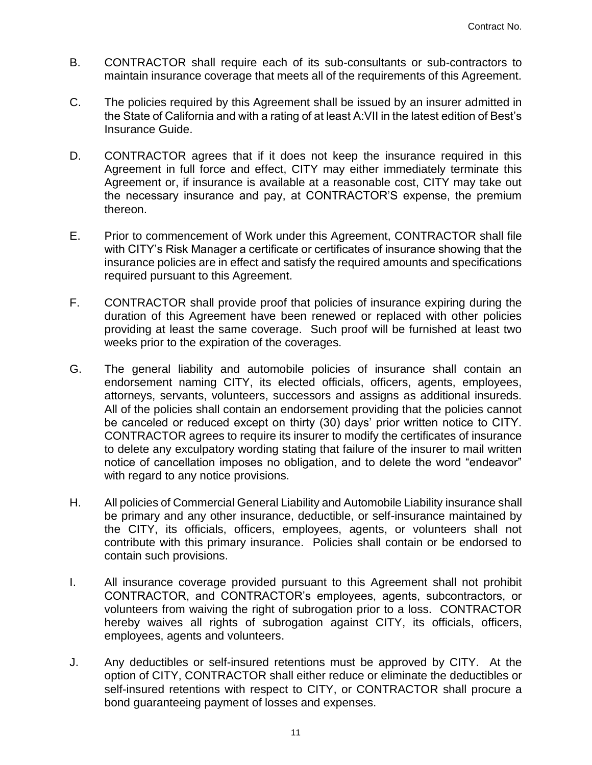- B. CONTRACTOR shall require each of its sub-consultants or sub-contractors to maintain insurance coverage that meets all of the requirements of this Agreement.
- C. The policies required by this Agreement shall be issued by an insurer admitted in the State of California and with a rating of at least A:VII in the latest edition of Best's Insurance Guide.
- D. CONTRACTOR agrees that if it does not keep the insurance required in this Agreement in full force and effect, CITY may either immediately terminate this Agreement or, if insurance is available at a reasonable cost, CITY may take out the necessary insurance and pay, at CONTRACTOR'S expense, the premium thereon.
- E. Prior to commencement of Work under this Agreement, CONTRACTOR shall file with CITY's Risk Manager a certificate or certificates of insurance showing that the insurance policies are in effect and satisfy the required amounts and specifications required pursuant to this Agreement.
- F. CONTRACTOR shall provide proof that policies of insurance expiring during the duration of this Agreement have been renewed or replaced with other policies providing at least the same coverage. Such proof will be furnished at least two weeks prior to the expiration of the coverages.
- G. The general liability and automobile policies of insurance shall contain an endorsement naming CITY, its elected officials, officers, agents, employees, attorneys, servants, volunteers, successors and assigns as additional insureds. All of the policies shall contain an endorsement providing that the policies cannot be canceled or reduced except on thirty (30) days' prior written notice to CITY. CONTRACTOR agrees to require its insurer to modify the certificates of insurance to delete any exculpatory wording stating that failure of the insurer to mail written notice of cancellation imposes no obligation, and to delete the word "endeavor" with regard to any notice provisions.
- H. All policies of Commercial General Liability and Automobile Liability insurance shall be primary and any other insurance, deductible, or self-insurance maintained by the CITY, its officials, officers, employees, agents, or volunteers shall not contribute with this primary insurance. Policies shall contain or be endorsed to contain such provisions.
- I. All insurance coverage provided pursuant to this Agreement shall not prohibit CONTRACTOR, and CONTRACTOR's employees, agents, subcontractors, or volunteers from waiving the right of subrogation prior to a loss. CONTRACTOR hereby waives all rights of subrogation against CITY, its officials, officers, employees, agents and volunteers.
- J. Any deductibles or self-insured retentions must be approved by CITY. At the option of CITY, CONTRACTOR shall either reduce or eliminate the deductibles or self-insured retentions with respect to CITY, or CONTRACTOR shall procure a bond guaranteeing payment of losses and expenses.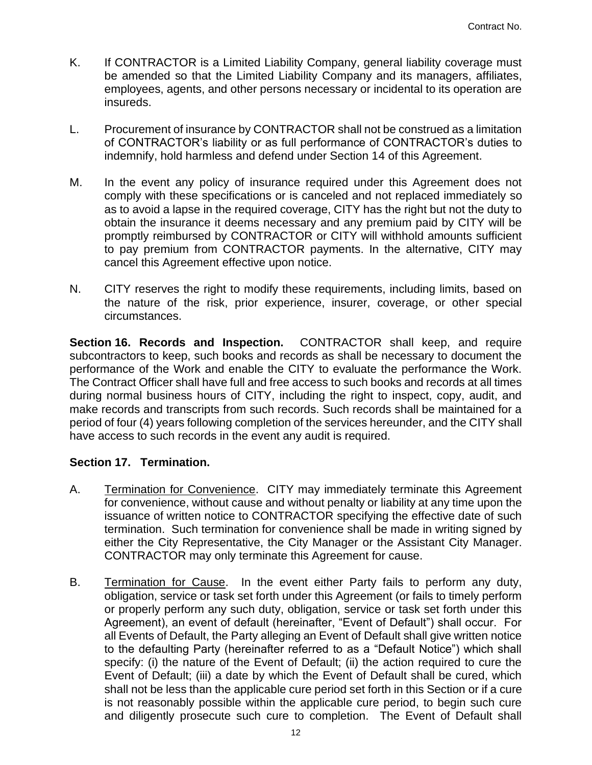- K. If CONTRACTOR is a Limited Liability Company, general liability coverage must be amended so that the Limited Liability Company and its managers, affiliates, employees, agents, and other persons necessary or incidental to its operation are insureds.
- L. Procurement of insurance by CONTRACTOR shall not be construed as a limitation of CONTRACTOR's liability or as full performance of CONTRACTOR's duties to indemnify, hold harmless and defend under Section 14 of this Agreement.
- M. In the event any policy of insurance required under this Agreement does not comply with these specifications or is canceled and not replaced immediately so as to avoid a lapse in the required coverage, CITY has the right but not the duty to obtain the insurance it deems necessary and any premium paid by CITY will be promptly reimbursed by CONTRACTOR or CITY will withhold amounts sufficient to pay premium from CONTRACTOR payments. In the alternative, CITY may cancel this Agreement effective upon notice.
- N. CITY reserves the right to modify these requirements, including limits, based on the nature of the risk, prior experience, insurer, coverage, or other special circumstances.

**Section 16. Records and Inspection.** CONTRACTOR shall keep, and require subcontractors to keep, such books and records as shall be necessary to document the performance of the Work and enable the CITY to evaluate the performance the Work. The Contract Officer shall have full and free access to such books and records at all times during normal business hours of CITY, including the right to inspect, copy, audit, and make records and transcripts from such records. Such records shall be maintained for a period of four (4) years following completion of the services hereunder, and the CITY shall have access to such records in the event any audit is required.

## **Section 17. Termination.**

- A. Termination for Convenience. CITY may immediately terminate this Agreement for convenience, without cause and without penalty or liability at any time upon the issuance of written notice to CONTRACTOR specifying the effective date of such termination. Such termination for convenience shall be made in writing signed by either the City Representative, the City Manager or the Assistant City Manager. CONTRACTOR may only terminate this Agreement for cause.
- B. Termination for Cause. In the event either Party fails to perform any duty, obligation, service or task set forth under this Agreement (or fails to timely perform or properly perform any such duty, obligation, service or task set forth under this Agreement), an event of default (hereinafter, "Event of Default") shall occur. For all Events of Default, the Party alleging an Event of Default shall give written notice to the defaulting Party (hereinafter referred to as a "Default Notice") which shall specify: (i) the nature of the Event of Default; (ii) the action required to cure the Event of Default; (iii) a date by which the Event of Default shall be cured, which shall not be less than the applicable cure period set forth in this Section or if a cure is not reasonably possible within the applicable cure period, to begin such cure and diligently prosecute such cure to completion. The Event of Default shall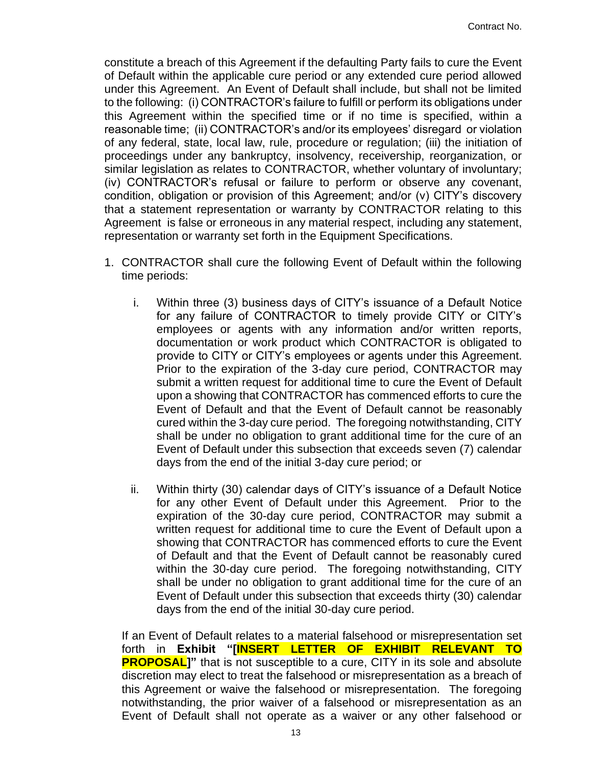constitute a breach of this Agreement if the defaulting Party fails to cure the Event of Default within the applicable cure period or any extended cure period allowed under this Agreement. An Event of Default shall include, but shall not be limited to the following: (i) CONTRACTOR's failure to fulfill or perform its obligations under this Agreement within the specified time or if no time is specified, within a reasonable time; (ii) CONTRACTOR's and/or its employees' disregard or violation of any federal, state, local law, rule, procedure or regulation; (iii) the initiation of proceedings under any bankruptcy, insolvency, receivership, reorganization, or similar legislation as relates to CONTRACTOR, whether voluntary of involuntary; (iv) CONTRACTOR's refusal or failure to perform or observe any covenant, condition, obligation or provision of this Agreement; and/or (v) CITY's discovery that a statement representation or warranty by CONTRACTOR relating to this Agreement is false or erroneous in any material respect, including any statement, representation or warranty set forth in the Equipment Specifications.

- 1. CONTRACTOR shall cure the following Event of Default within the following time periods:
	- i. Within three (3) business days of CITY's issuance of a Default Notice for any failure of CONTRACTOR to timely provide CITY or CITY's employees or agents with any information and/or written reports, documentation or work product which CONTRACTOR is obligated to provide to CITY or CITY's employees or agents under this Agreement. Prior to the expiration of the 3-day cure period, CONTRACTOR may submit a written request for additional time to cure the Event of Default upon a showing that CONTRACTOR has commenced efforts to cure the Event of Default and that the Event of Default cannot be reasonably cured within the 3-day cure period. The foregoing notwithstanding, CITY shall be under no obligation to grant additional time for the cure of an Event of Default under this subsection that exceeds seven (7) calendar days from the end of the initial 3-day cure period; or
	- ii. Within thirty (30) calendar days of CITY's issuance of a Default Notice for any other Event of Default under this Agreement. Prior to the expiration of the 30-day cure period, CONTRACTOR may submit a written request for additional time to cure the Event of Default upon a showing that CONTRACTOR has commenced efforts to cure the Event of Default and that the Event of Default cannot be reasonably cured within the 30-day cure period. The foregoing notwithstanding, CITY shall be under no obligation to grant additional time for the cure of an Event of Default under this subsection that exceeds thirty (30) calendar days from the end of the initial 30-day cure period.

If an Event of Default relates to a material falsehood or misrepresentation set forth in **Exhibit "[INSERT LETTER OF EXHIBIT RELEVANT TO PROPOSAL]**" that is not susceptible to a cure, CITY in its sole and absolute discretion may elect to treat the falsehood or misrepresentation as a breach of this Agreement or waive the falsehood or misrepresentation. The foregoing notwithstanding, the prior waiver of a falsehood or misrepresentation as an Event of Default shall not operate as a waiver or any other falsehood or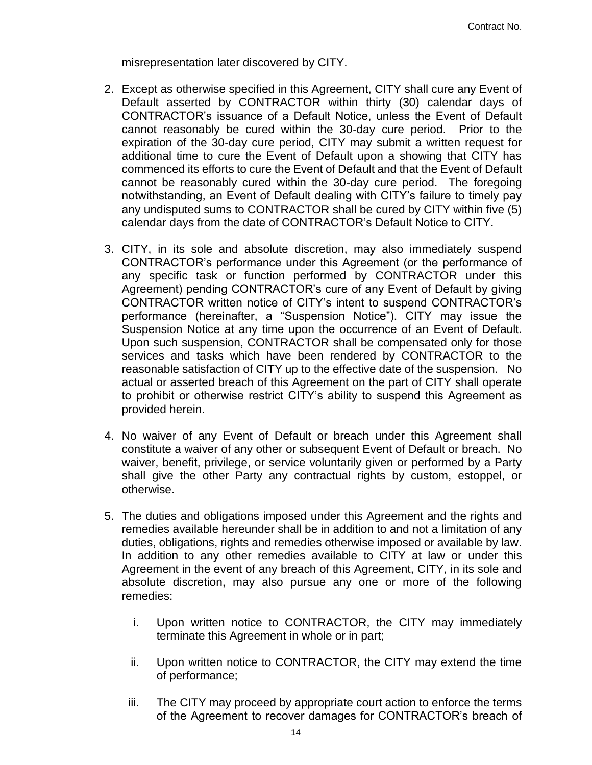misrepresentation later discovered by CITY.

- 2. Except as otherwise specified in this Agreement, CITY shall cure any Event of Default asserted by CONTRACTOR within thirty (30) calendar days of CONTRACTOR's issuance of a Default Notice, unless the Event of Default cannot reasonably be cured within the 30-day cure period. Prior to the expiration of the 30-day cure period, CITY may submit a written request for additional time to cure the Event of Default upon a showing that CITY has commenced its efforts to cure the Event of Default and that the Event of Default cannot be reasonably cured within the 30-day cure period. The foregoing notwithstanding, an Event of Default dealing with CITY's failure to timely pay any undisputed sums to CONTRACTOR shall be cured by CITY within five (5) calendar days from the date of CONTRACTOR's Default Notice to CITY.
- 3. CITY, in its sole and absolute discretion, may also immediately suspend CONTRACTOR's performance under this Agreement (or the performance of any specific task or function performed by CONTRACTOR under this Agreement) pending CONTRACTOR's cure of any Event of Default by giving CONTRACTOR written notice of CITY's intent to suspend CONTRACTOR's performance (hereinafter, a "Suspension Notice"). CITY may issue the Suspension Notice at any time upon the occurrence of an Event of Default. Upon such suspension, CONTRACTOR shall be compensated only for those services and tasks which have been rendered by CONTRACTOR to the reasonable satisfaction of CITY up to the effective date of the suspension. No actual or asserted breach of this Agreement on the part of CITY shall operate to prohibit or otherwise restrict CITY's ability to suspend this Agreement as provided herein.
- 4. No waiver of any Event of Default or breach under this Agreement shall constitute a waiver of any other or subsequent Event of Default or breach. No waiver, benefit, privilege, or service voluntarily given or performed by a Party shall give the other Party any contractual rights by custom, estoppel, or otherwise.
- 5. The duties and obligations imposed under this Agreement and the rights and remedies available hereunder shall be in addition to and not a limitation of any duties, obligations, rights and remedies otherwise imposed or available by law. In addition to any other remedies available to CITY at law or under this Agreement in the event of any breach of this Agreement, CITY, in its sole and absolute discretion, may also pursue any one or more of the following remedies:
	- i. Upon written notice to CONTRACTOR, the CITY may immediately terminate this Agreement in whole or in part;
	- ii. Upon written notice to CONTRACTOR, the CITY may extend the time of performance;
	- iii. The CITY may proceed by appropriate court action to enforce the terms of the Agreement to recover damages for CONTRACTOR's breach of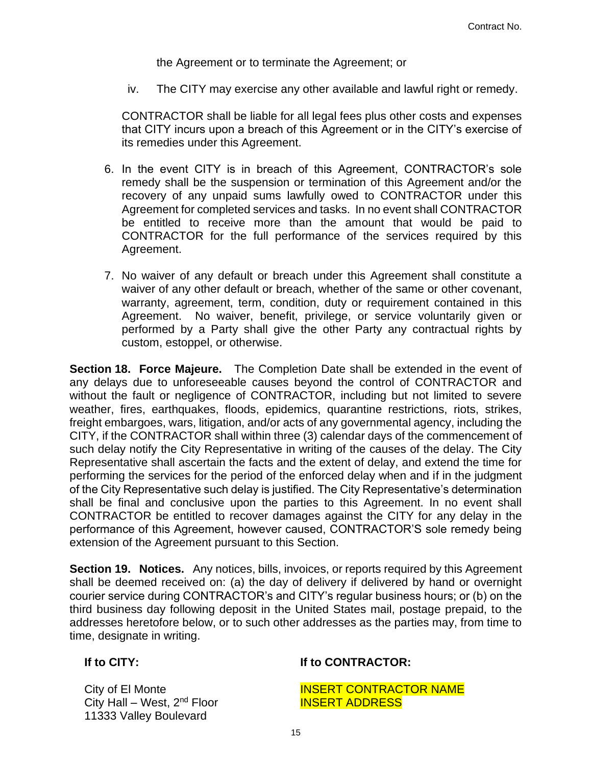the Agreement or to terminate the Agreement; or

iv. The CITY may exercise any other available and lawful right or remedy.

CONTRACTOR shall be liable for all legal fees plus other costs and expenses that CITY incurs upon a breach of this Agreement or in the CITY's exercise of its remedies under this Agreement.

- 6. In the event CITY is in breach of this Agreement, CONTRACTOR's sole remedy shall be the suspension or termination of this Agreement and/or the recovery of any unpaid sums lawfully owed to CONTRACTOR under this Agreement for completed services and tasks. In no event shall CONTRACTOR be entitled to receive more than the amount that would be paid to CONTRACTOR for the full performance of the services required by this Agreement.
- 7. No waiver of any default or breach under this Agreement shall constitute a waiver of any other default or breach, whether of the same or other covenant, warranty, agreement, term, condition, duty or requirement contained in this Agreement. No waiver, benefit, privilege, or service voluntarily given or performed by a Party shall give the other Party any contractual rights by custom, estoppel, or otherwise.

**Section 18. Force Majeure.** The Completion Date shall be extended in the event of any delays due to unforeseeable causes beyond the control of CONTRACTOR and without the fault or negligence of CONTRACTOR, including but not limited to severe weather, fires, earthquakes, floods, epidemics, quarantine restrictions, riots, strikes, freight embargoes, wars, litigation, and/or acts of any governmental agency, including the CITY, if the CONTRACTOR shall within three (3) calendar days of the commencement of such delay notify the City Representative in writing of the causes of the delay. The City Representative shall ascertain the facts and the extent of delay, and extend the time for performing the services for the period of the enforced delay when and if in the judgment of the City Representative such delay is justified. The City Representative's determination shall be final and conclusive upon the parties to this Agreement. In no event shall CONTRACTOR be entitled to recover damages against the CITY for any delay in the performance of this Agreement, however caused, CONTRACTOR'S sole remedy being extension of the Agreement pursuant to this Section.

**Section 19. Notices.** Any notices, bills, invoices, or reports required by this Agreement shall be deemed received on: (a) the day of delivery if delivered by hand or overnight courier service during CONTRACTOR's and CITY's regular business hours; or (b) on the third business day following deposit in the United States mail, postage prepaid, to the addresses heretofore below, or to such other addresses as the parties may, from time to time, designate in writing.

City of El Monte City Hall – West,  $2<sup>nd</sup>$  Floor 11333 Valley Boulevard

## **If to CITY: If to CONTRACTOR:**

INSERT CONTRACTOR NAME INSERT ADDRESS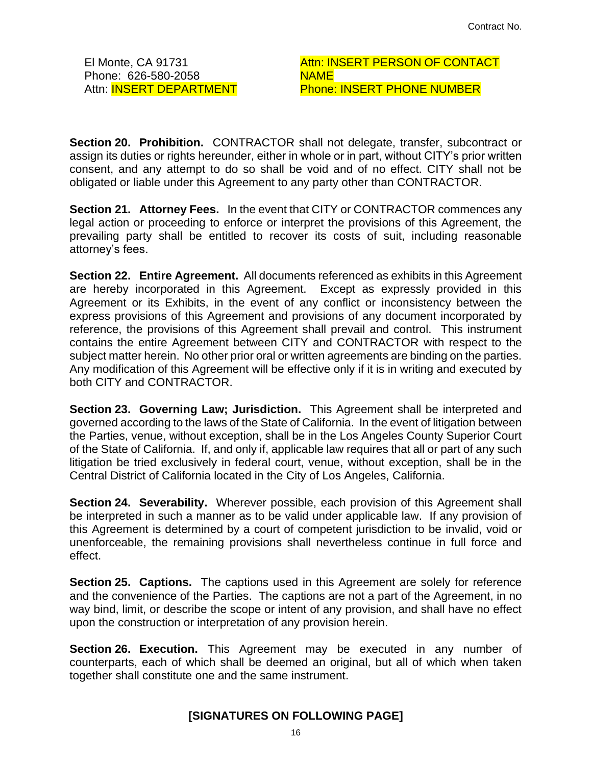El Monte, CA 91731 Phone: 626-580-2058 Attn: **INSERT DEPARTMENT**  Attn: INSERT PERSON OF CONTACT NAME Phone: INSERT PHONE NUMBER

**Section 20. Prohibition.** CONTRACTOR shall not delegate, transfer, subcontract or assign its duties or rights hereunder, either in whole or in part, without CITY's prior written consent, and any attempt to do so shall be void and of no effect. CITY shall not be obligated or liable under this Agreement to any party other than CONTRACTOR.

**Section 21. Attorney Fees.** In the event that CITY or CONTRACTOR commences any legal action or proceeding to enforce or interpret the provisions of this Agreement, the prevailing party shall be entitled to recover its costs of suit, including reasonable attorney's fees.

**Section 22. Entire Agreement.** All documents referenced as exhibits in this Agreement are hereby incorporated in this Agreement. Except as expressly provided in this Agreement or its Exhibits, in the event of any conflict or inconsistency between the express provisions of this Agreement and provisions of any document incorporated by reference, the provisions of this Agreement shall prevail and control. This instrument contains the entire Agreement between CITY and CONTRACTOR with respect to the subject matter herein. No other prior oral or written agreements are binding on the parties. Any modification of this Agreement will be effective only if it is in writing and executed by both CITY and CONTRACTOR.

**Section 23. Governing Law; Jurisdiction.** This Agreement shall be interpreted and governed according to the laws of the State of California. In the event of litigation between the Parties, venue, without exception, shall be in the Los Angeles County Superior Court of the State of California. If, and only if, applicable law requires that all or part of any such litigation be tried exclusively in federal court, venue, without exception, shall be in the Central District of California located in the City of Los Angeles, California.

**Section 24. Severability.** Wherever possible, each provision of this Agreement shall be interpreted in such a manner as to be valid under applicable law. If any provision of this Agreement is determined by a court of competent jurisdiction to be invalid, void or unenforceable, the remaining provisions shall nevertheless continue in full force and effect.

**Section 25. Captions.** The captions used in this Agreement are solely for reference and the convenience of the Parties. The captions are not a part of the Agreement, in no way bind, limit, or describe the scope or intent of any provision, and shall have no effect upon the construction or interpretation of any provision herein.

**Section 26. Execution.** This Agreement may be executed in any number of counterparts, each of which shall be deemed an original, but all of which when taken together shall constitute one and the same instrument.

## **[SIGNATURES ON FOLLOWING PAGE]**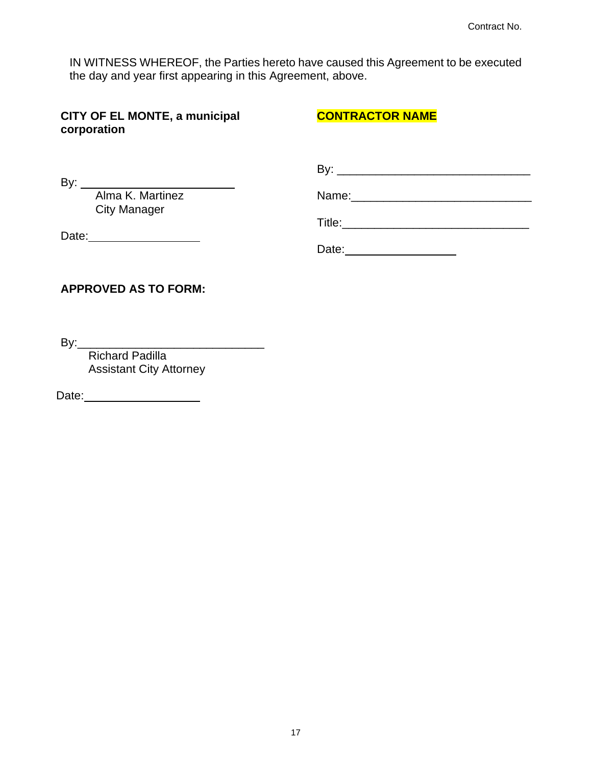IN WITNESS WHEREOF, the Parties hereto have caused this Agreement to be executed the day and year first appearing in this Agreement, above.

| <b>CITY OF EL MONTE, a municipal</b><br>corporation | <b>CONTRACTOR NAME</b> |
|-----------------------------------------------------|------------------------|
|                                                     |                        |
| Alma K. Martinez                                    |                        |
| <b>City Manager</b>                                 |                        |
|                                                     | Date: 2000             |
| <b>APPROVED AS TO FORM:</b>                         |                        |

By:\_\_\_\_\_\_\_\_\_\_\_\_\_\_\_\_\_\_\_\_\_\_\_\_\_\_\_\_\_

Richard Padilla Assistant City Attorney

Date: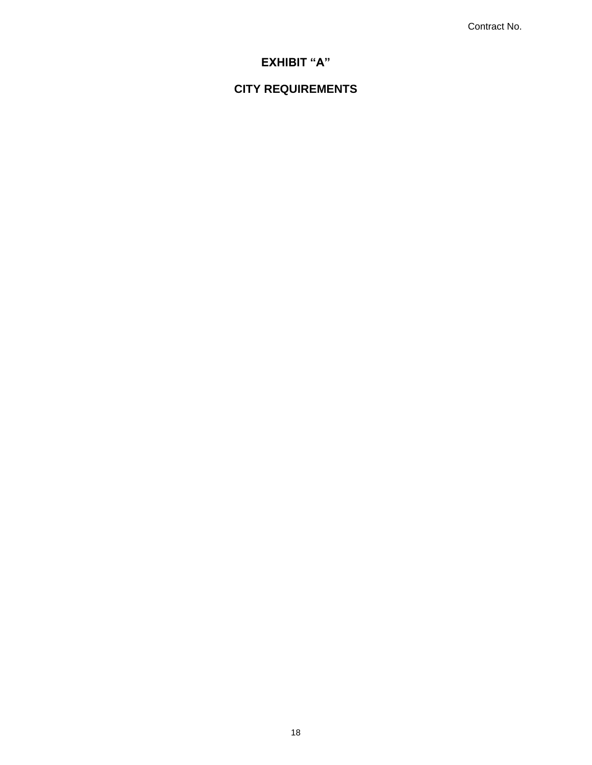Contract No.

# **EXHIBIT "A"**

# **CITY REQUIREMENTS**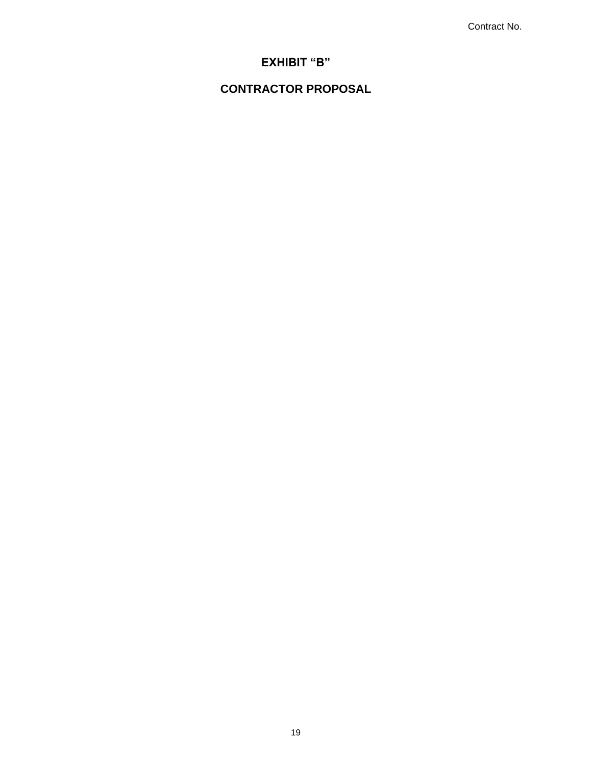Contract No.

## **EXHIBIT "B"**

## **CONTRACTOR PROPOSAL**